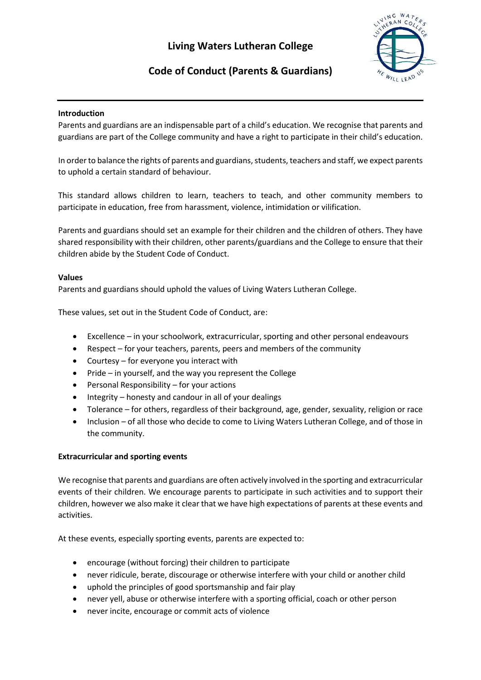# **Living Waters Lutheran College**



# **Code of Conduct (Parents & Guardians)**

### **Introduction**

Parents and guardians are an indispensable part of a child's education. We recognise that parents and guardians are part of the College community and have a right to participate in their child's education.

In order to balance the rights of parents and guardians, students, teachers and staff, we expect parents to uphold a certain standard of behaviour.

This standard allows children to learn, teachers to teach, and other community members to participate in education, free from harassment, violence, intimidation or vilification.

Parents and guardians should set an example for their children and the children of others. They have shared responsibility with their children, other parents/guardians and the College to ensure that their children abide by the Student Code of Conduct.

#### **Values**

Parents and guardians should uphold the values of Living Waters Lutheran College.

These values, set out in the Student Code of Conduct, are:

- Excellence in your schoolwork, extracurricular, sporting and other personal endeavours
- Respect for your teachers, parents, peers and members of the community
- Courtesy for everyone you interact with
- Pride in yourself, and the way you represent the College
- Personal Responsibility for your actions
- Integrity honesty and candour in all of your dealings
- Tolerance for others, regardless of their background, age, gender, sexuality, religion or race
- Inclusion of all those who decide to come to Living Waters Lutheran College, and of those in the community.

#### **Extracurricular and sporting events**

We recognise that parents and guardians are often actively involved in the sporting and extracurricular events of their children. We encourage parents to participate in such activities and to support their children, however we also make it clear that we have high expectations of parents at these events and activities.

At these events, especially sporting events, parents are expected to:

- encourage (without forcing) their children to participate
- never ridicule, berate, discourage or otherwise interfere with your child or another child
- uphold the principles of good sportsmanship and fair play
- never yell, abuse or otherwise interfere with a sporting official, coach or other person
- never incite, encourage or commit acts of violence